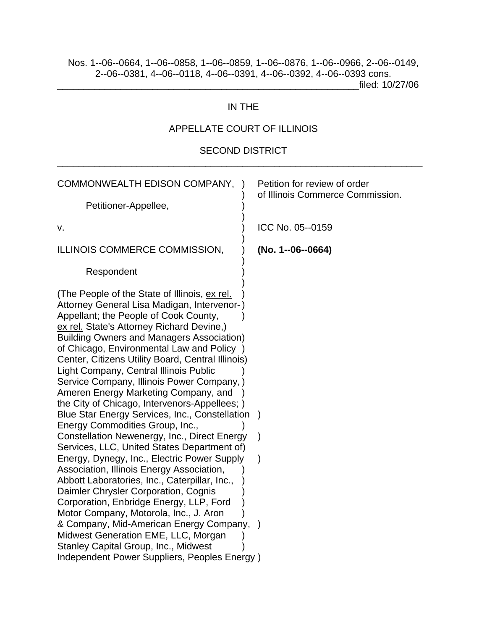\_\_\_\_\_\_\_\_\_\_\_\_\_\_\_\_\_\_\_\_\_\_\_\_\_\_\_\_\_\_\_\_\_\_\_\_\_\_\_\_\_\_\_\_\_\_\_\_\_\_\_\_\_\_\_\_\_filed: 10/27/06

### IN THE

# APPELLATE COURT OF ILLINOIS

### SECOND DISTRICT \_\_\_\_\_\_\_\_\_\_\_\_\_\_\_\_\_\_\_\_\_\_\_\_\_\_\_\_\_\_\_\_\_\_\_\_\_\_\_\_\_\_\_\_\_\_\_\_\_\_\_\_\_\_\_\_\_\_\_\_\_\_\_\_\_\_\_\_\_

| COMMONWEALTH EDISON COMPANY, )                                                                                                                                                                                                                                                                                                                                                                                                                                                                                                                                                                                                                                                                                                                                                                                                                                                                                                                                                           | Petition for review of order<br>of Illinois Commerce Commission. |
|------------------------------------------------------------------------------------------------------------------------------------------------------------------------------------------------------------------------------------------------------------------------------------------------------------------------------------------------------------------------------------------------------------------------------------------------------------------------------------------------------------------------------------------------------------------------------------------------------------------------------------------------------------------------------------------------------------------------------------------------------------------------------------------------------------------------------------------------------------------------------------------------------------------------------------------------------------------------------------------|------------------------------------------------------------------|
| Petitioner-Appellee,                                                                                                                                                                                                                                                                                                                                                                                                                                                                                                                                                                                                                                                                                                                                                                                                                                                                                                                                                                     |                                                                  |
| ۷.                                                                                                                                                                                                                                                                                                                                                                                                                                                                                                                                                                                                                                                                                                                                                                                                                                                                                                                                                                                       | ICC No. 05--0159                                                 |
| ILLINOIS COMMERCE COMMISSION,                                                                                                                                                                                                                                                                                                                                                                                                                                                                                                                                                                                                                                                                                                                                                                                                                                                                                                                                                            | (No. 1--06--0664)                                                |
| Respondent                                                                                                                                                                                                                                                                                                                                                                                                                                                                                                                                                                                                                                                                                                                                                                                                                                                                                                                                                                               |                                                                  |
| (The People of the State of Illinois, ex rel.<br>Attorney General Lisa Madigan, Intervenor-)<br>Appellant; the People of Cook County,<br>ex rel. State's Attorney Richard Devine,)<br><b>Building Owners and Managers Association)</b><br>of Chicago, Environmental Law and Policy )<br>Center, Citizens Utility Board, Central Illinois)<br>Light Company, Central Illinois Public<br>Service Company, Illinois Power Company, )<br>Ameren Energy Marketing Company, and<br>the City of Chicago, Intervenors-Appellees; )<br>Blue Star Energy Services, Inc., Constellation<br>Energy Commodities Group, Inc.,<br>Constellation Newenergy, Inc., Direct Energy<br>Services, LLC, United States Department of)<br>Energy, Dynegy, Inc., Electric Power Supply<br>Association, Illinois Energy Association,<br>Abbott Laboratories, Inc., Caterpillar, Inc.,<br>Daimler Chrysler Corporation, Cognis<br>Corporation, Enbridge Energy, LLP, Ford<br>Motor Company, Motorola, Inc., J. Aron | $\mathcal{E}$                                                    |
| & Company, Mid-American Energy Company,<br>Midwest Generation EME, LLC, Morgan                                                                                                                                                                                                                                                                                                                                                                                                                                                                                                                                                                                                                                                                                                                                                                                                                                                                                                           |                                                                  |
| <b>Stanley Capital Group, Inc., Midwest</b>                                                                                                                                                                                                                                                                                                                                                                                                                                                                                                                                                                                                                                                                                                                                                                                                                                                                                                                                              |                                                                  |
| Independent Power Suppliers, Peoples Energy)                                                                                                                                                                                                                                                                                                                                                                                                                                                                                                                                                                                                                                                                                                                                                                                                                                                                                                                                             |                                                                  |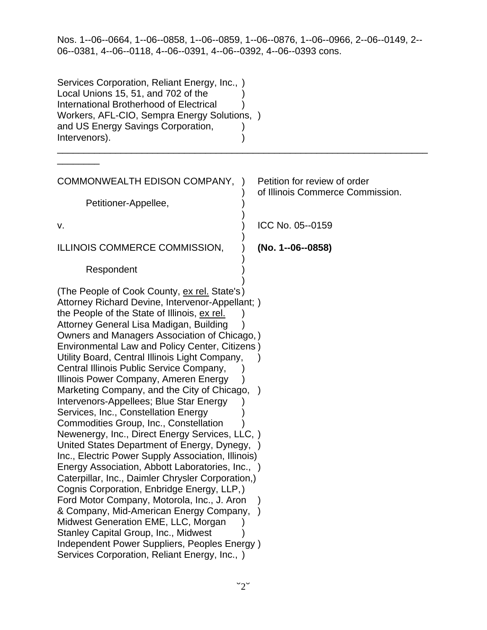| Services Corporation, Reliant Energy, Inc., )<br>Local Unions 15, 51, and 702 of the<br>International Brotherhood of Electrical<br>Workers, AFL-CIO, Sempra Energy Solutions, )<br>and US Energy Savings Corporation,<br>Intervenors).                                                                                                                                                                                                                                                                                                                                                                                                                                                                                                                                                                                                                                                                                                                                                                                                                                                                                                                                                                      |                                                                               |
|-------------------------------------------------------------------------------------------------------------------------------------------------------------------------------------------------------------------------------------------------------------------------------------------------------------------------------------------------------------------------------------------------------------------------------------------------------------------------------------------------------------------------------------------------------------------------------------------------------------------------------------------------------------------------------------------------------------------------------------------------------------------------------------------------------------------------------------------------------------------------------------------------------------------------------------------------------------------------------------------------------------------------------------------------------------------------------------------------------------------------------------------------------------------------------------------------------------|-------------------------------------------------------------------------------|
|                                                                                                                                                                                                                                                                                                                                                                                                                                                                                                                                                                                                                                                                                                                                                                                                                                                                                                                                                                                                                                                                                                                                                                                                             |                                                                               |
| COMMONWEALTH EDISON COMPANY,                                                                                                                                                                                                                                                                                                                                                                                                                                                                                                                                                                                                                                                                                                                                                                                                                                                                                                                                                                                                                                                                                                                                                                                | Petition for review of order<br>$\lambda$<br>of Illinois Commerce Commission. |
| Petitioner-Appellee,                                                                                                                                                                                                                                                                                                                                                                                                                                                                                                                                                                                                                                                                                                                                                                                                                                                                                                                                                                                                                                                                                                                                                                                        |                                                                               |
|                                                                                                                                                                                                                                                                                                                                                                                                                                                                                                                                                                                                                                                                                                                                                                                                                                                                                                                                                                                                                                                                                                                                                                                                             |                                                                               |
| v.                                                                                                                                                                                                                                                                                                                                                                                                                                                                                                                                                                                                                                                                                                                                                                                                                                                                                                                                                                                                                                                                                                                                                                                                          | ICC No. 05--0159                                                              |
| ILLINOIS COMMERCE COMMISSION,                                                                                                                                                                                                                                                                                                                                                                                                                                                                                                                                                                                                                                                                                                                                                                                                                                                                                                                                                                                                                                                                                                                                                                               | (No. 1--06--0858)                                                             |
| Respondent                                                                                                                                                                                                                                                                                                                                                                                                                                                                                                                                                                                                                                                                                                                                                                                                                                                                                                                                                                                                                                                                                                                                                                                                  |                                                                               |
| (The People of Cook County, ex rel. State's)<br>Attorney Richard Devine, Intervenor-Appellant; )<br>the People of the State of Illinois, ex rel.<br>Attorney General Lisa Madigan, Building<br>Owners and Managers Association of Chicago,)<br>Environmental Law and Policy Center, Citizens)<br>Utility Board, Central Illinois Light Company,<br>Central Illinois Public Service Company,<br>Illinois Power Company, Ameren Energy<br>Marketing Company, and the City of Chicago, )<br>Intervenors-Appellees; Blue Star Energy<br>Services, Inc., Constellation Energy<br>Commodities Group, Inc., Constellation<br>Newenergy, Inc., Direct Energy Services, LLC, )<br>United States Department of Energy, Dynegy,<br>Inc., Electric Power Supply Association, Illinois)<br>Energy Association, Abbott Laboratories, Inc., )<br>Caterpillar, Inc., Daimler Chrysler Corporation,)<br>Cognis Corporation, Enbridge Energy, LLP,)<br>Ford Motor Company, Motorola, Inc., J. Aron<br>& Company, Mid-American Energy Company,<br>Midwest Generation EME, LLC, Morgan<br>Stanley Capital Group, Inc., Midwest<br>Independent Power Suppliers, Peoples Energy)<br>Services Corporation, Reliant Energy, Inc., ) |                                                                               |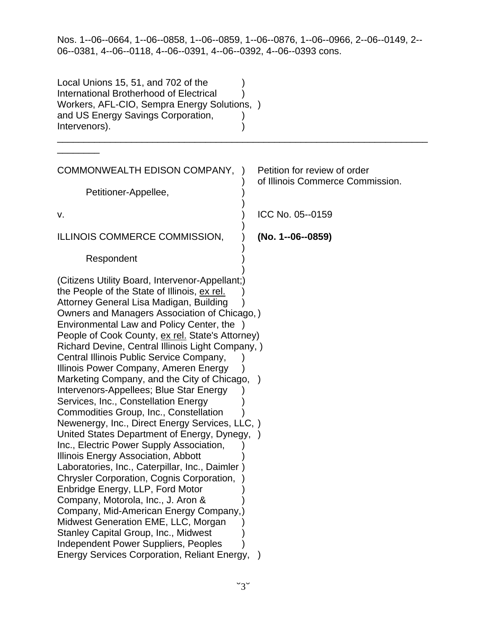| Local Unions 15, 51, and 702 of the<br>International Brotherhood of Electrical<br>Workers, AFL-CIO, Sempra Energy Solutions, )<br>and US Energy Savings Corporation,<br>Intervenors).                                                                                                                                                                                                                                                                                                                                                                                                                                                                                                                                                                                                                                                                                                                                                                                                                                                                                                                                                                                                                       |                                                                  |
|-------------------------------------------------------------------------------------------------------------------------------------------------------------------------------------------------------------------------------------------------------------------------------------------------------------------------------------------------------------------------------------------------------------------------------------------------------------------------------------------------------------------------------------------------------------------------------------------------------------------------------------------------------------------------------------------------------------------------------------------------------------------------------------------------------------------------------------------------------------------------------------------------------------------------------------------------------------------------------------------------------------------------------------------------------------------------------------------------------------------------------------------------------------------------------------------------------------|------------------------------------------------------------------|
|                                                                                                                                                                                                                                                                                                                                                                                                                                                                                                                                                                                                                                                                                                                                                                                                                                                                                                                                                                                                                                                                                                                                                                                                             |                                                                  |
| COMMONWEALTH EDISON COMPANY,                                                                                                                                                                                                                                                                                                                                                                                                                                                                                                                                                                                                                                                                                                                                                                                                                                                                                                                                                                                                                                                                                                                                                                                | Petition for review of order<br>of Illinois Commerce Commission. |
| Petitioner-Appellee,                                                                                                                                                                                                                                                                                                                                                                                                                                                                                                                                                                                                                                                                                                                                                                                                                                                                                                                                                                                                                                                                                                                                                                                        |                                                                  |
|                                                                                                                                                                                                                                                                                                                                                                                                                                                                                                                                                                                                                                                                                                                                                                                                                                                                                                                                                                                                                                                                                                                                                                                                             | ICC No. 05--0159                                                 |
| v.                                                                                                                                                                                                                                                                                                                                                                                                                                                                                                                                                                                                                                                                                                                                                                                                                                                                                                                                                                                                                                                                                                                                                                                                          |                                                                  |
| ILLINOIS COMMERCE COMMISSION,                                                                                                                                                                                                                                                                                                                                                                                                                                                                                                                                                                                                                                                                                                                                                                                                                                                                                                                                                                                                                                                                                                                                                                               | (No. 1--06--0859)                                                |
| Respondent                                                                                                                                                                                                                                                                                                                                                                                                                                                                                                                                                                                                                                                                                                                                                                                                                                                                                                                                                                                                                                                                                                                                                                                                  |                                                                  |
| (Citizens Utility Board, Intervenor-Appellant;)<br>the People of the State of Illinois, ex rel.<br>Attorney General Lisa Madigan, Building<br>Owners and Managers Association of Chicago,)<br>Environmental Law and Policy Center, the<br>People of Cook County, ex rel. State's Attorney)<br>Richard Devine, Central Illinois Light Company, )<br>Central Illinois Public Service Company,<br>Illinois Power Company, Ameren Energy<br>Marketing Company, and the City of Chicago, )<br>Intervenors-Appellees; Blue Star Energy<br>Services, Inc., Constellation Energy<br>Commodities Group, Inc., Constellation<br>Newenergy, Inc., Direct Energy Services, LLC, )<br>United States Department of Energy, Dynegy, )<br>Inc., Electric Power Supply Association,<br>Illinois Energy Association, Abbott<br>Laboratories, Inc., Caterpillar, Inc., Daimler)<br>Chrysler Corporation, Cognis Corporation,<br>Enbridge Energy, LLP, Ford Motor<br>Company, Motorola, Inc., J. Aron &<br>Company, Mid-American Energy Company,)<br>Midwest Generation EME, LLC, Morgan<br>Stanley Capital Group, Inc., Midwest<br>Independent Power Suppliers, Peoples<br><b>Energy Services Corporation, Reliant Energy,</b> |                                                                  |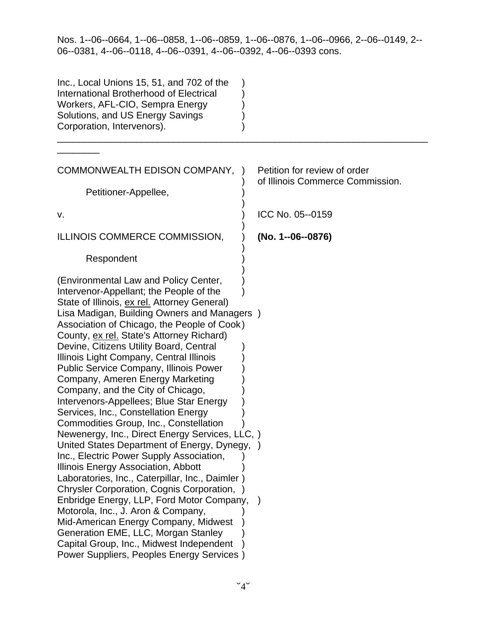| Inc., Local Unions 15, 51, and 702 of the<br>International Brotherhood of Electrical<br>Workers, AFL-CIO, Sempra Energy<br>Solutions, and US Energy Savings<br>Corporation, Intervenors).                                                                                                                                                                                                                                                                                                                                                                                                                                                                                                                                                                                                                                                                                                                                                                                                                                                                                                                                                                                     |                                                                  |
|-------------------------------------------------------------------------------------------------------------------------------------------------------------------------------------------------------------------------------------------------------------------------------------------------------------------------------------------------------------------------------------------------------------------------------------------------------------------------------------------------------------------------------------------------------------------------------------------------------------------------------------------------------------------------------------------------------------------------------------------------------------------------------------------------------------------------------------------------------------------------------------------------------------------------------------------------------------------------------------------------------------------------------------------------------------------------------------------------------------------------------------------------------------------------------|------------------------------------------------------------------|
|                                                                                                                                                                                                                                                                                                                                                                                                                                                                                                                                                                                                                                                                                                                                                                                                                                                                                                                                                                                                                                                                                                                                                                               |                                                                  |
| COMMONWEALTH EDISON COMPANY,                                                                                                                                                                                                                                                                                                                                                                                                                                                                                                                                                                                                                                                                                                                                                                                                                                                                                                                                                                                                                                                                                                                                                  | Petition for review of order<br>of Illinois Commerce Commission. |
| Petitioner-Appellee,                                                                                                                                                                                                                                                                                                                                                                                                                                                                                                                                                                                                                                                                                                                                                                                                                                                                                                                                                                                                                                                                                                                                                          |                                                                  |
| v.                                                                                                                                                                                                                                                                                                                                                                                                                                                                                                                                                                                                                                                                                                                                                                                                                                                                                                                                                                                                                                                                                                                                                                            | ICC No. 05--0159                                                 |
| ILLINOIS COMMERCE COMMISSION,                                                                                                                                                                                                                                                                                                                                                                                                                                                                                                                                                                                                                                                                                                                                                                                                                                                                                                                                                                                                                                                                                                                                                 | (No. 1--06--0876)                                                |
| Respondent                                                                                                                                                                                                                                                                                                                                                                                                                                                                                                                                                                                                                                                                                                                                                                                                                                                                                                                                                                                                                                                                                                                                                                    |                                                                  |
| (Environmental Law and Policy Center,<br>Intervenor-Appellant; the People of the<br>State of Illinois, ex rel. Attorney General)<br>Lisa Madigan, Building Owners and Managers )<br>Association of Chicago, the People of Cook)<br>County, ex rel. State's Attorney Richard)<br>Devine, Citizens Utility Board, Central<br>Illinois Light Company, Central Illinois<br><b>Public Service Company, Illinois Power</b><br>Company, Ameren Energy Marketing<br>Company, and the City of Chicago,<br>Intervenors-Appellees; Blue Star Energy<br>Services, Inc., Constellation Energy<br>Commodities Group, Inc., Constellation<br>Newenergy, Inc., Direct Energy Services, LLC, )<br>United States Department of Energy, Dynegy, )<br>Inc., Electric Power Supply Association,<br>Illinois Energy Association, Abbott<br>Laboratories, Inc., Caterpillar, Inc., Daimler)<br>Chrysler Corporation, Cognis Corporation, )<br>Enbridge Energy, LLP, Ford Motor Company,<br>Motorola, Inc., J. Aron & Company,<br>Mid-American Energy Company, Midwest<br>Generation EME, LLC, Morgan Stanley<br>Capital Group, Inc., Midwest Independent<br>Power Suppliers, Peoples Energy Services |                                                                  |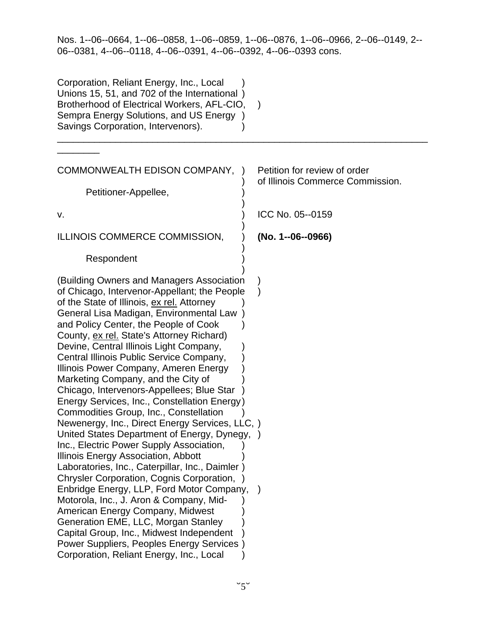| Corporation, Reliant Energy, Inc., Local<br>Unions 15, 51, and 702 of the International)<br>Brotherhood of Electrical Workers, AFL-CIO,<br>Sempra Energy Solutions, and US Energy<br>Savings Corporation, Intervenors).                                                                                                                                                                                                                                                                                                                                                                                                                                                                                                                                                                                                                                                                                                                                                                                                                                                                                                                                                              |                                                                  |
|--------------------------------------------------------------------------------------------------------------------------------------------------------------------------------------------------------------------------------------------------------------------------------------------------------------------------------------------------------------------------------------------------------------------------------------------------------------------------------------------------------------------------------------------------------------------------------------------------------------------------------------------------------------------------------------------------------------------------------------------------------------------------------------------------------------------------------------------------------------------------------------------------------------------------------------------------------------------------------------------------------------------------------------------------------------------------------------------------------------------------------------------------------------------------------------|------------------------------------------------------------------|
|                                                                                                                                                                                                                                                                                                                                                                                                                                                                                                                                                                                                                                                                                                                                                                                                                                                                                                                                                                                                                                                                                                                                                                                      |                                                                  |
| COMMONWEALTH EDISON COMPANY,                                                                                                                                                                                                                                                                                                                                                                                                                                                                                                                                                                                                                                                                                                                                                                                                                                                                                                                                                                                                                                                                                                                                                         | Petition for review of order<br>of Illinois Commerce Commission. |
| Petitioner-Appellee,                                                                                                                                                                                                                                                                                                                                                                                                                                                                                                                                                                                                                                                                                                                                                                                                                                                                                                                                                                                                                                                                                                                                                                 |                                                                  |
|                                                                                                                                                                                                                                                                                                                                                                                                                                                                                                                                                                                                                                                                                                                                                                                                                                                                                                                                                                                                                                                                                                                                                                                      |                                                                  |
| v.                                                                                                                                                                                                                                                                                                                                                                                                                                                                                                                                                                                                                                                                                                                                                                                                                                                                                                                                                                                                                                                                                                                                                                                   | ICC No. 05--0159                                                 |
| ILLINOIS COMMERCE COMMISSION,                                                                                                                                                                                                                                                                                                                                                                                                                                                                                                                                                                                                                                                                                                                                                                                                                                                                                                                                                                                                                                                                                                                                                        | (No. 1--06--0966)                                                |
| Respondent                                                                                                                                                                                                                                                                                                                                                                                                                                                                                                                                                                                                                                                                                                                                                                                                                                                                                                                                                                                                                                                                                                                                                                           |                                                                  |
| (Building Owners and Managers Association<br>of Chicago, Intervenor-Appellant; the People<br>of the State of Illinois, ex rel. Attorney<br>General Lisa Madigan, Environmental Law<br>and Policy Center, the People of Cook<br>County, ex rel. State's Attorney Richard)<br>Devine, Central Illinois Light Company,<br>Central Illinois Public Service Company,<br>Illinois Power Company, Ameren Energy<br>Marketing Company, and the City of<br>Chicago, Intervenors-Appellees; Blue Star<br>Energy Services, Inc., Constellation Energy)<br>Commodities Group, Inc., Constellation<br>Newenergy, Inc., Direct Energy Services, LLC, )<br>United States Department of Energy, Dynegy, )<br>Inc., Electric Power Supply Association,<br>Illinois Energy Association, Abbott<br>Laboratories, Inc., Caterpillar, Inc., Daimler)<br>Chrysler Corporation, Cognis Corporation,<br>Enbridge Energy, LLP, Ford Motor Company,<br>Motorola, Inc., J. Aron & Company, Mid-<br>American Energy Company, Midwest<br>Generation EME, LLC, Morgan Stanley<br>Capital Group, Inc., Midwest Independent<br>Power Suppliers, Peoples Energy Services)<br>Corporation, Reliant Energy, Inc., Local |                                                                  |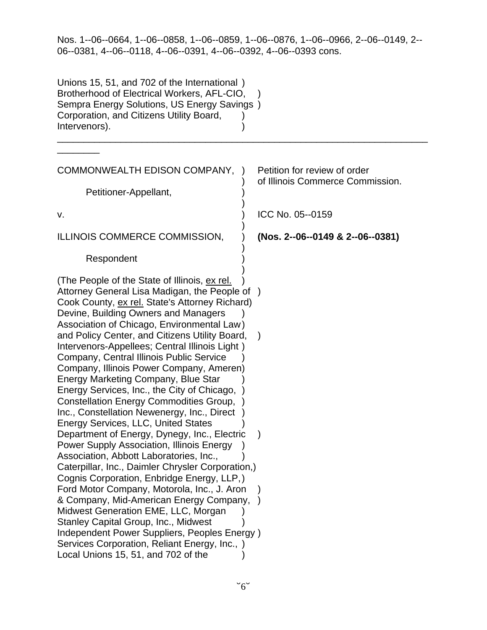| Unions 15, 51, and 702 of the International)<br>Brotherhood of Electrical Workers, AFL-CIO,<br>Sempra Energy Solutions, US Energy Savings)<br>Corporation, and Citizens Utility Board,<br>Intervenors).                                 |                                                                  |
|-----------------------------------------------------------------------------------------------------------------------------------------------------------------------------------------------------------------------------------------|------------------------------------------------------------------|
|                                                                                                                                                                                                                                         |                                                                  |
| COMMONWEALTH EDISON COMPANY,                                                                                                                                                                                                            | Petition for review of order<br>of Illinois Commerce Commission. |
| Petitioner-Appellant,                                                                                                                                                                                                                   |                                                                  |
| v.                                                                                                                                                                                                                                      | ICC No. 05--0159                                                 |
| ILLINOIS COMMERCE COMMISSION,                                                                                                                                                                                                           | (Nos. 2--06--0149 & 2--06--0381)                                 |
| Respondent                                                                                                                                                                                                                              |                                                                  |
| (The People of the State of Illinois, ex rel.<br>Attorney General Lisa Madigan, the People of )<br>Cook County, ex rel. State's Attorney Richard)<br>Devine, Building Owners and Managers<br>Association of Chicago, Environmental Law) |                                                                  |
| and Policy Center, and Citizens Utility Board,<br>Intervenors-Appellees; Central Illinois Light)<br>Company, Central Illinois Public Service<br>Company, Illinois Power Company, Ameren)<br>Energy Marketing Company, Blue Star         |                                                                  |
| Energy Services, Inc., the City of Chicago,<br><b>Constellation Energy Commodities Group,</b><br>Inc., Constellation Newenergy, Inc., Direct                                                                                            |                                                                  |
| <b>Energy Services, LLC, United States</b><br>Department of Energy, Dynegy, Inc., Electric<br><b>Power Supply Association, Illinois Energy</b>                                                                                          |                                                                  |
| Association, Abbott Laboratories, Inc.,<br>Caterpillar, Inc., Daimler Chrysler Corporation,)                                                                                                                                            |                                                                  |
| Cognis Corporation, Enbridge Energy, LLP,)<br>Ford Motor Company, Motorola, Inc., J. Aron                                                                                                                                               |                                                                  |
| & Company, Mid-American Energy Company,<br>Midwest Generation EME, LLC, Morgan<br>Stanley Capital Group, Inc., Midwest                                                                                                                  |                                                                  |
| Independent Power Suppliers, Peoples Energy)<br>Services Corporation, Reliant Energy, Inc., )<br>Local Unions 15, 51, and 702 of the                                                                                                    |                                                                  |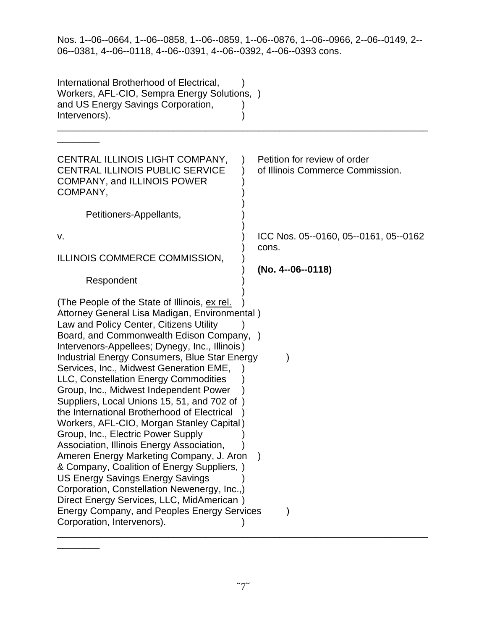| International Brotherhood of Electrical,<br>Workers, AFL-CIO, Sempra Energy Solutions, )<br>and US Energy Savings Corporation,<br>Intervenors).                                                                                                                                                                                                                                                                                                                                                                                                                                                                                                                                                                                                                                                                                                                                                                                                                             |                                                                     |
|-----------------------------------------------------------------------------------------------------------------------------------------------------------------------------------------------------------------------------------------------------------------------------------------------------------------------------------------------------------------------------------------------------------------------------------------------------------------------------------------------------------------------------------------------------------------------------------------------------------------------------------------------------------------------------------------------------------------------------------------------------------------------------------------------------------------------------------------------------------------------------------------------------------------------------------------------------------------------------|---------------------------------------------------------------------|
| CENTRAL ILLINOIS LIGHT COMPANY,<br><b>CENTRAL ILLINOIS PUBLIC SERVICE</b><br><b>COMPANY, and ILLINOIS POWER</b><br>COMPANY,<br>Petitioners-Appellants,                                                                                                                                                                                                                                                                                                                                                                                                                                                                                                                                                                                                                                                                                                                                                                                                                      | Petition for review of order<br>of Illinois Commerce Commission.    |
| v.<br>ILLINOIS COMMERCE COMMISSION,<br>Respondent                                                                                                                                                                                                                                                                                                                                                                                                                                                                                                                                                                                                                                                                                                                                                                                                                                                                                                                           | ICC Nos. 05--0160, 05--0161, 05--0162<br>cons.<br>(No. 4--06--0118) |
| (The People of the State of Illinois, ex rel.<br>Attorney General Lisa Madigan, Environmental)<br>Law and Policy Center, Citizens Utility<br>Board, and Commonwealth Edison Company, )<br>Intervenors-Appellees; Dynegy, Inc., Illinois)<br>Industrial Energy Consumers, Blue Star Energy<br>Services, Inc., Midwest Generation EME,<br>LLC, Constellation Energy Commodities<br>Group, Inc., Midwest Independent Power<br>Suppliers, Local Unions 15, 51, and 702 of<br>the International Brotherhood of Electrical<br>Workers, AFL-CIO, Morgan Stanley Capital)<br>Group, Inc., Electric Power Supply<br>Association, Illinois Energy Association,<br>Ameren Energy Marketing Company, J. Aron<br>& Company, Coalition of Energy Suppliers, )<br><b>US Energy Savings Energy Savings</b><br>Corporation, Constellation Newenergy, Inc.,)<br>Direct Energy Services, LLC, MidAmerican)<br><b>Energy Company, and Peoples Energy Services</b><br>Corporation, Intervenors). |                                                                     |

\_\_\_\_\_\_\_\_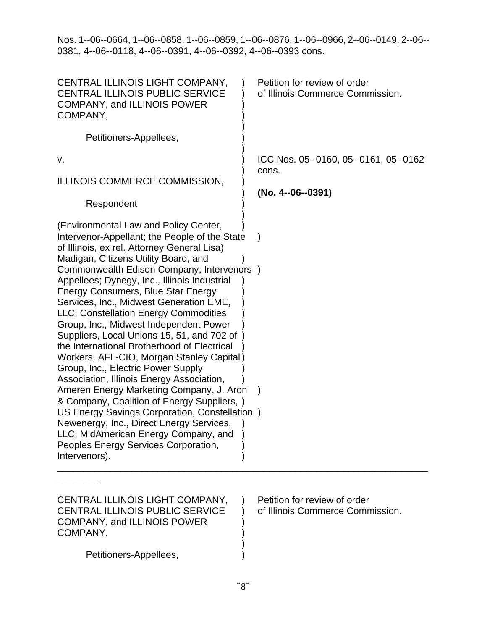| CENTRAL ILLINOIS LIGHT COMPANY,<br><b>CENTRAL ILLINOIS PUBLIC SERVICE</b><br>COMPANY, and ILLINOIS POWER<br>COMPANY,<br>Petitioners-Appellees,                                                                                                                                                                                                                                                                                                                                                                                                                                                                                                                                                                                                                                                                                                                                                                                                                        | Petition for review of order<br>of Illinois Commerce Commission.    |
|-----------------------------------------------------------------------------------------------------------------------------------------------------------------------------------------------------------------------------------------------------------------------------------------------------------------------------------------------------------------------------------------------------------------------------------------------------------------------------------------------------------------------------------------------------------------------------------------------------------------------------------------------------------------------------------------------------------------------------------------------------------------------------------------------------------------------------------------------------------------------------------------------------------------------------------------------------------------------|---------------------------------------------------------------------|
| ν.<br>ILLINOIS COMMERCE COMMISSION,                                                                                                                                                                                                                                                                                                                                                                                                                                                                                                                                                                                                                                                                                                                                                                                                                                                                                                                                   | ICC Nos. 05--0160, 05--0161, 05--0162<br>cons.<br>(No. 4--06--0391) |
| Respondent                                                                                                                                                                                                                                                                                                                                                                                                                                                                                                                                                                                                                                                                                                                                                                                                                                                                                                                                                            |                                                                     |
| (Environmental Law and Policy Center,<br>Intervenor-Appellant; the People of the State<br>of Illinois, ex rel. Attorney General Lisa)<br>Madigan, Citizens Utility Board, and<br>Commonwealth Edison Company, Intervenors-)<br>Appellees; Dynegy, Inc., Illinois Industrial<br>Energy Consumers, Blue Star Energy<br>Services, Inc., Midwest Generation EME,<br>LLC, Constellation Energy Commodities<br>Group, Inc., Midwest Independent Power<br>Suppliers, Local Unions 15, 51, and 702 of<br>the International Brotherhood of Electrical<br>Workers, AFL-CIO, Morgan Stanley Capital)<br>Group, Inc., Electric Power Supply<br>Association, Illinois Energy Association,<br>Ameren Energy Marketing Company, J. Aron<br>& Company, Coalition of Energy Suppliers, )<br>US Energy Savings Corporation, Constellation)<br>Newenergy, Inc., Direct Energy Services,<br>LLC, MidAmerican Energy Company, and<br>Peoples Energy Services Corporation,<br>Intervenors). |                                                                     |
| CENTRAL ILLINOIS LIGHT COMPANY,<br><b>CENTRAL ILLINOIS PUBLIC SERVICE</b><br><b>COMPANY, and ILLINOIS POWER</b><br>COMPANY,<br>Petitioners-Appellees,                                                                                                                                                                                                                                                                                                                                                                                                                                                                                                                                                                                                                                                                                                                                                                                                                 | Petition for review of order<br>of Illinois Commerce Commission.    |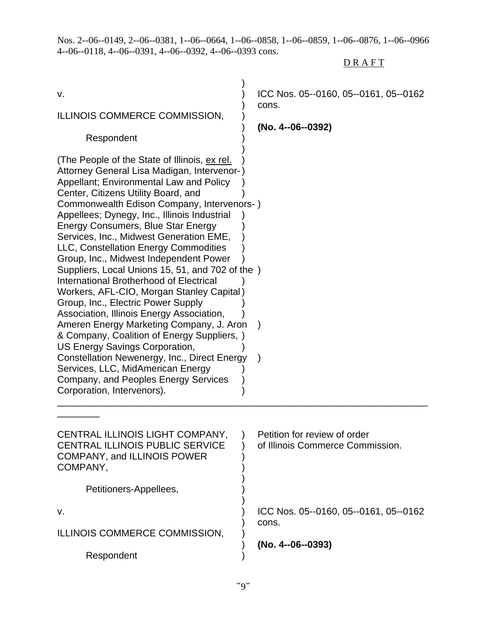Nos. 2--06--0149, 2--06--0381, 1--06--0664, 1--06--0858, 1--06--0859, 1--06--0876, 1--06--0966 4--06--0118, 4--06--0391, 4--06--0392, 4--06--0393 cons.

# **DRAFT**

| ν.<br>ILLINOIS COMMERCE COMMISSION,<br>Respondent<br>(The People of the State of Illinois, ex rel.<br>Attorney General Lisa Madigan, Intervenor-)<br>Appellant; Environmental Law and Policy<br>Center, Citizens Utility Board, and<br>Commonwealth Edison Company, Intervenors-)<br>Appellees; Dynegy, Inc., Illinois Industrial<br>Energy Consumers, Blue Star Energy                                                                                                                                                                                                                                                                           | ICC Nos. 05--0160, 05--0161, 05--0162<br>cons.<br>(No. 4--06--0392) |
|---------------------------------------------------------------------------------------------------------------------------------------------------------------------------------------------------------------------------------------------------------------------------------------------------------------------------------------------------------------------------------------------------------------------------------------------------------------------------------------------------------------------------------------------------------------------------------------------------------------------------------------------------|---------------------------------------------------------------------|
| Services, Inc., Midwest Generation EME,<br>LLC, Constellation Energy Commodities<br>Group, Inc., Midwest Independent Power<br>Suppliers, Local Unions 15, 51, and 702 of the )<br>International Brotherhood of Electrical<br>Workers, AFL-CIO, Morgan Stanley Capital)<br>Group, Inc., Electric Power Supply<br>Association, Illinois Energy Association,<br>Ameren Energy Marketing Company, J. Aron<br>& Company, Coalition of Energy Suppliers, )<br>US Energy Savings Corporation,<br>Constellation Newenergy, Inc., Direct Energy<br>Services, LLC, MidAmerican Energy<br>Company, and Peoples Energy Services<br>Corporation, Intervenors). | $\lambda$                                                           |
| CENTRAL ILLINOIS LIGHT COMPANY,<br>CENTRAL ILLINOIS PUBLIC SERVICE<br><b>COMPANY, and ILLINOIS POWER</b><br>COMPANY,<br>Petitioners-Appellees,                                                                                                                                                                                                                                                                                                                                                                                                                                                                                                    | Petition for review of order<br>of Illinois Commerce Commission.    |
|                                                                                                                                                                                                                                                                                                                                                                                                                                                                                                                                                                                                                                                   |                                                                     |
| v.                                                                                                                                                                                                                                                                                                                                                                                                                                                                                                                                                                                                                                                | ICC Nos. 05--0160, 05--0161, 05--0162<br>cons.                      |
| ILLINOIS COMMERCE COMMISSION,                                                                                                                                                                                                                                                                                                                                                                                                                                                                                                                                                                                                                     |                                                                     |
| Respondent                                                                                                                                                                                                                                                                                                                                                                                                                                                                                                                                                                                                                                        | (No. 4--06--0393)                                                   |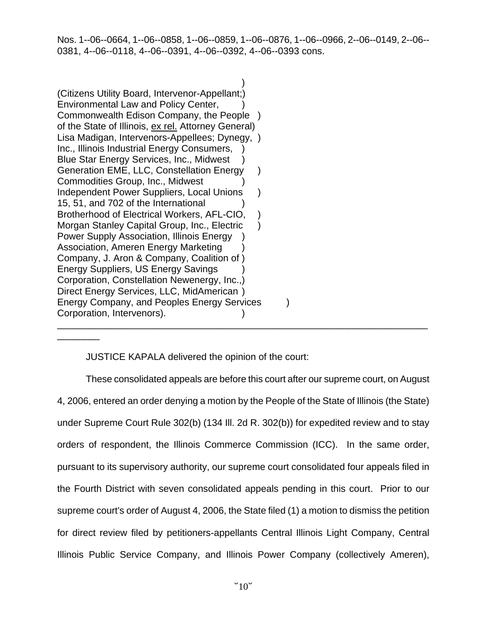$)$ (Citizens Utility Board, Intervenor-Appellant;) Environmental Law and Policy Center, ) Commonwealth Edison Company, the People ) of the State of Illinois, ex rel. Attorney General) Lisa Madigan, Intervenors-Appellees; Dynegy, ) Inc., Illinois Industrial Energy Consumers, Blue Star Energy Services, Inc., Midwest ) Generation EME, LLC, Constellation Energy ) Commodities Group, Inc., Midwest ) Independent Power Suppliers, Local Unions ) 15, 51, and 702 of the International ) Brotherhood of Electrical Workers, AFL-CIO, Morgan Stanley Capital Group, Inc., Electric ) Power Supply Association, Illinois Energy ) Association, Ameren Energy Marketing ) Company, J. Aron & Company, Coalition of ) Energy Suppliers, US Energy Savings ) Corporation, Constellation Newenergy, Inc.,) Direct Energy Services, LLC, MidAmerican ) Energy Company, and Peoples Energy Services (but) Corporation, Intervenors). \_\_\_\_\_\_\_\_\_\_\_\_\_\_\_\_\_\_\_\_\_\_\_\_\_\_\_\_\_\_\_\_\_\_\_\_\_\_\_\_\_\_\_\_\_\_\_\_\_\_\_\_\_\_\_\_\_\_\_\_\_\_\_\_\_\_\_\_\_\_

\_\_\_\_\_\_\_\_

JUSTICE KAPALA delivered the opinion of the court:

These consolidated appeals are before this court after our supreme court, on August 4, 2006, entered an order denying a motion by the People of the State of Illinois (the State) under Supreme Court Rule 302(b) (134 Ill. 2d R. 302(b)) for expedited review and to stay orders of respondent, the Illinois Commerce Commission (ICC). In the same order, pursuant to its supervisory authority, our supreme court consolidated four appeals filed in the Fourth District with seven consolidated appeals pending in this court. Prior to our supreme court's order of August 4, 2006, the State filed (1) a motion to dismiss the petition for direct review filed by petitioners-appellants Central Illinois Light Company, Central Illinois Public Service Company, and Illinois Power Company (collectively Ameren),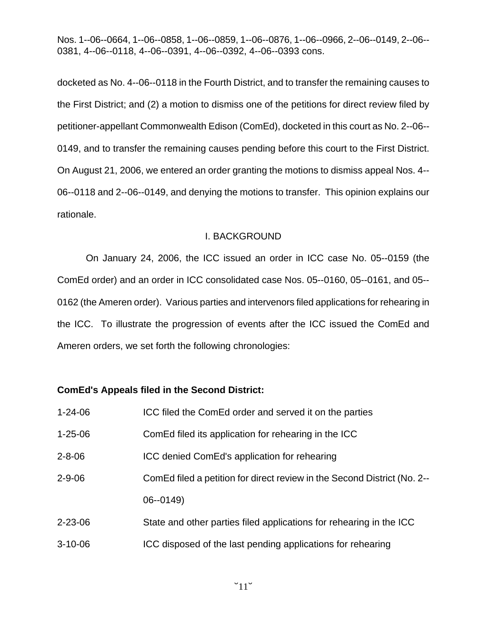docketed as No. 4--06--0118 in the Fourth District, and to transfer the remaining causes to the First District; and (2) a motion to dismiss one of the petitions for direct review filed by petitioner-appellant Commonwealth Edison (ComEd), docketed in this court as No. 2--06-- 0149, and to transfer the remaining causes pending before this court to the First District. On August 21, 2006, we entered an order granting the motions to dismiss appeal Nos. 4-- 06--0118 and 2--06--0149, and denying the motions to transfer. This opinion explains our rationale.

#### I. BACKGROUND

On January 24, 2006, the ICC issued an order in ICC case No. 05--0159 (the ComEd order) and an order in ICC consolidated case Nos. 05--0160, 05--0161, and 05-- 0162 (the Ameren order). Various parties and intervenors filed applications for rehearing in the ICC. To illustrate the progression of events after the ICC issued the ComEd and Ameren orders, we set forth the following chronologies:

### **ComEd's Appeals filed in the Second District:**

| $1 - 24 - 06$ | ICC filed the ComEd order and served it on the parties                   |
|---------------|--------------------------------------------------------------------------|
| $1 - 25 - 06$ | ComEd filed its application for rehearing in the ICC                     |
| $2 - 8 - 06$  | ICC denied ComEd's application for rehearing                             |
| $2 - 9 - 06$  | ComEd filed a petition for direct review in the Second District (No. 2-- |
|               | $06 - 0149$                                                              |
| $2 - 23 - 06$ | State and other parties filed applications for rehearing in the ICC      |
| $3 - 10 - 06$ | ICC disposed of the last pending applications for rehearing              |
|               |                                                                          |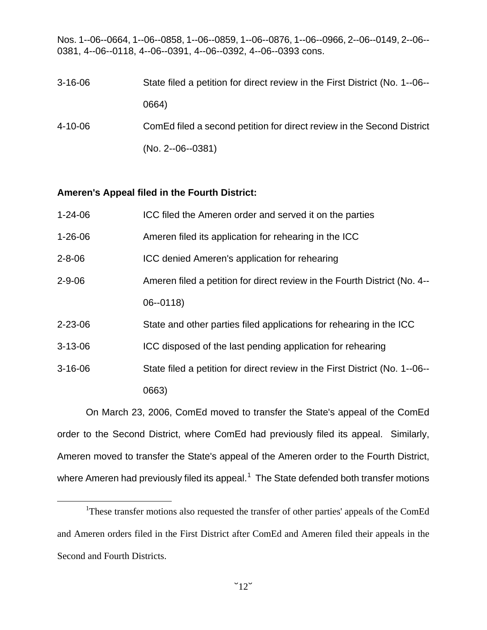| $3 - 16 - 06$ | State filed a petition for direct review in the First District (No. 1--06-- |
|---------------|-----------------------------------------------------------------------------|
|               | 0664)                                                                       |
| 4-10-06       | ComEd filed a second petition for direct review in the Second District      |
|               | $(No. 2-06-0381)$                                                           |

#### **Ameren's Appeal filed in the Fourth District:**

| $1 - 24 - 06$ | ICC filed the Ameren order and served it on the parties                     |
|---------------|-----------------------------------------------------------------------------|
| $1 - 26 - 06$ | Ameren filed its application for rehearing in the ICC                       |
| $2 - 8 - 06$  | ICC denied Ameren's application for rehearing                               |
| $2 - 9 - 06$  | Ameren filed a petition for direct review in the Fourth District (No. 4--   |
|               | $06 - 0118$                                                                 |
| $2 - 23 - 06$ | State and other parties filed applications for rehearing in the ICC         |
| $3 - 13 - 06$ | ICC disposed of the last pending application for rehearing                  |
| $3 - 16 - 06$ | State filed a petition for direct review in the First District (No. 1--06-- |
|               | 0663)                                                                       |

On March 23, 2006, ComEd moved to transfer the State's appeal of the ComEd order to the Second District, where ComEd had previously filed its appeal. Similarly, Ameren moved to transfer the State's appeal of the Ameren order to the Fourth District, where Ameren had previously filed its appeal.<sup>[1](#page-11-0)</sup> The State defended both transfer motions

<span id="page-11-0"></span><sup>&</sup>lt;u>1</u> <sup>1</sup>These transfer motions also requested the transfer of other parties' appeals of the ComEd and Ameren orders filed in the First District after ComEd and Ameren filed their appeals in the Second and Fourth Districts.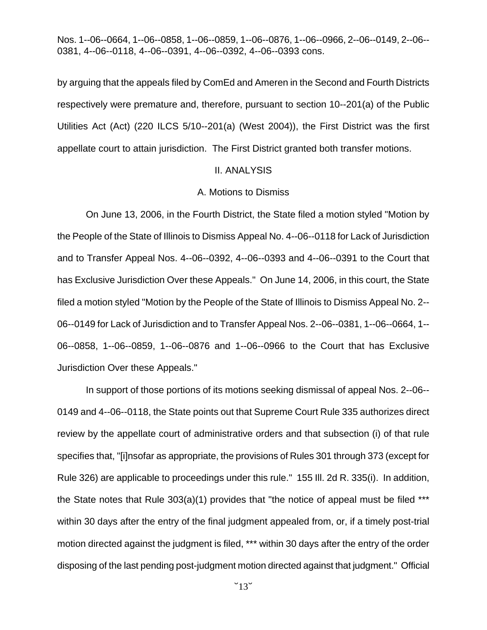by arguing that the appeals filed by ComEd and Ameren in the Second and Fourth Districts respectively were premature and, therefore, pursuant to section 10--201(a) of the Public Utilities Act (Act) (220 ILCS 5/10--201(a) (West 2004)), the First District was the first appellate court to attain jurisdiction. The First District granted both transfer motions.

#### II. ANALYSIS

#### A. Motions to Dismiss

On June 13, 2006, in the Fourth District, the State filed a motion styled "Motion by the People of the State of Illinois to Dismiss Appeal No. 4--06--0118 for Lack of Jurisdiction and to Transfer Appeal Nos. 4--06--0392, 4--06--0393 and 4--06--0391 to the Court that has Exclusive Jurisdiction Over these Appeals." On June 14, 2006, in this court, the State filed a motion styled "Motion by the People of the State of Illinois to Dismiss Appeal No. 2-- 06--0149 for Lack of Jurisdiction and to Transfer Appeal Nos. 2--06--0381, 1--06--0664, 1-- 06--0858, 1--06--0859, 1--06--0876 and 1--06--0966 to the Court that has Exclusive Jurisdiction Over these Appeals."

In support of those portions of its motions seeking dismissal of appeal Nos. 2--06-- 0149 and 4--06--0118, the State points out that Supreme Court Rule 335 authorizes direct review by the appellate court of administrative orders and that subsection (i) of that rule specifies that, "[i]nsofar as appropriate, the provisions of Rules 301 through 373 (except for Rule 326) are applicable to proceedings under this rule." 155 Ill. 2d R. 335(i). In addition, the State notes that Rule 303(a)(1) provides that "the notice of appeal must be filed \*\*\* within 30 days after the entry of the final judgment appealed from, or, if a timely post-trial motion directed against the judgment is filed, \*\*\* within 30 days after the entry of the order disposing of the last pending post-judgment motion directed against that judgment." Official

 $\degree$ 13 $\degree$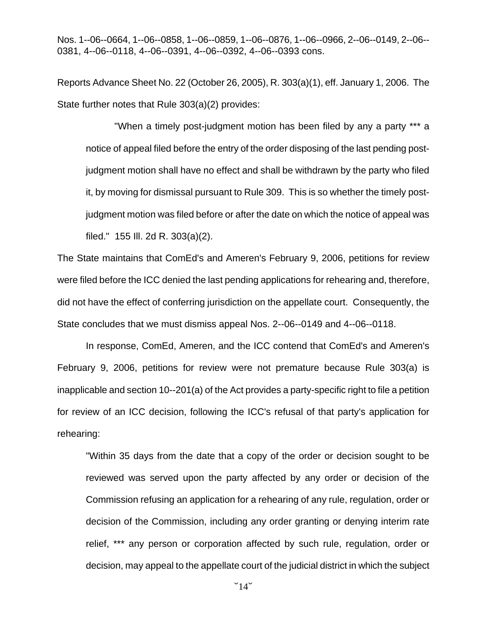Reports Advance Sheet No. 22 (October 26, 2005), R. 303(a)(1), eff. January 1, 2006. The State further notes that Rule 303(a)(2) provides:

"When a timely post-judgment motion has been filed by any a party \*\*\* a notice of appeal filed before the entry of the order disposing of the last pending postjudgment motion shall have no effect and shall be withdrawn by the party who filed it, by moving for dismissal pursuant to Rule 309. This is so whether the timely postjudgment motion was filed before or after the date on which the notice of appeal was filed." 155 Ill. 2d R. 303(a)(2).

The State maintains that ComEd's and Ameren's February 9, 2006, petitions for review were filed before the ICC denied the last pending applications for rehearing and, therefore, did not have the effect of conferring jurisdiction on the appellate court. Consequently, the State concludes that we must dismiss appeal Nos. 2--06--0149 and 4--06--0118.

In response, ComEd, Ameren, and the ICC contend that ComEd's and Ameren's February 9, 2006, petitions for review were not premature because Rule 303(a) is inapplicable and section 10--201(a) of the Act provides a party-specific right to file a petition for review of an ICC decision, following the ICC's refusal of that party's application for rehearing:

"Within 35 days from the date that a copy of the order or decision sought to be reviewed was served upon the party affected by any order or decision of the Commission refusing an application for a rehearing of any rule, regulation, order or decision of the Commission, including any order granting or denying interim rate relief, \*\*\* any person or corporation affected by such rule, regulation, order or decision, may appeal to the appellate court of the judicial district in which the subject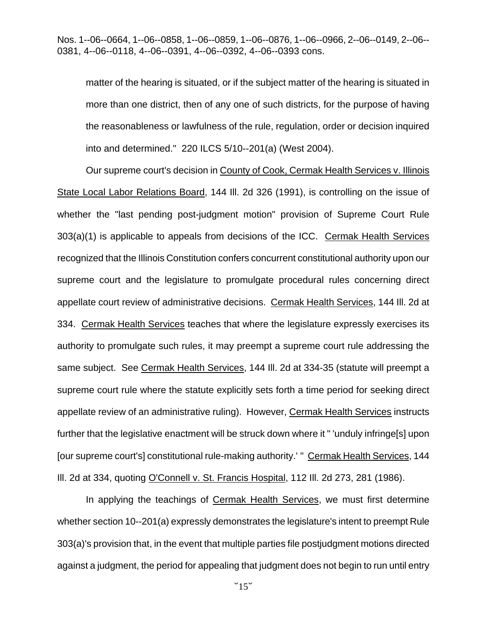matter of the hearing is situated, or if the subject matter of the hearing is situated in more than one district, then of any one of such districts, for the purpose of having the reasonableness or lawfulness of the rule, regulation, order or decision inquired into and determined." 220 ILCS 5/10--201(a) (West 2004).

Our supreme court's decision in County of Cook, Cermak Health Services v. Illinois State Local Labor Relations Board, 144 Ill. 2d 326 (1991), is controlling on the issue of whether the "last pending post-judgment motion" provision of Supreme Court Rule 303(a)(1) is applicable to appeals from decisions of the ICC. Cermak Health Services recognized that the Illinois Constitution confers concurrent constitutional authority upon our supreme court and the legislature to promulgate procedural rules concerning direct appellate court review of administrative decisions. Cermak Health Services, 144 Ill. 2d at 334. Cermak Health Services teaches that where the legislature expressly exercises its authority to promulgate such rules, it may preempt a supreme court rule addressing the same subject. See Cermak Health Services, 144 Ill. 2d at 334-35 (statute will preempt a supreme court rule where the statute explicitly sets forth a time period for seeking direct appellate review of an administrative ruling). However, Cermak Health Services instructs further that the legislative enactment will be struck down where it " 'unduly infringe[s] upon [our supreme court's] constitutional rule-making authority.' " Cermak Health Services, 144 Ill. 2d at 334, quoting O'Connell v. St. Francis Hospital, 112 Ill. 2d 273, 281 (1986).

In applying the teachings of Cermak Health Services, we must first determine whether section 10--201(a) expressly demonstrates the legislature's intent to preempt Rule 303(a)'s provision that, in the event that multiple parties file postjudgment motions directed against a judgment, the period for appealing that judgment does not begin to run until entry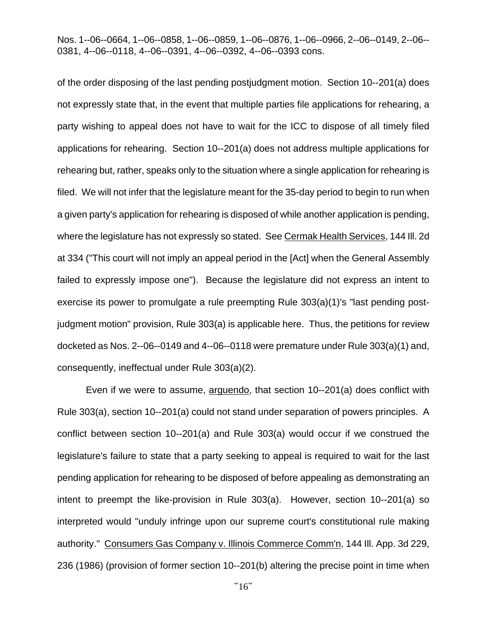of the order disposing of the last pending postjudgment motion. Section 10--201(a) does not expressly state that, in the event that multiple parties file applications for rehearing, a party wishing to appeal does not have to wait for the ICC to dispose of all timely filed applications for rehearing. Section 10--201(a) does not address multiple applications for rehearing but, rather, speaks only to the situation where a single application for rehearing is filed. We will not infer that the legislature meant for the 35-day period to begin to run when a given party's application for rehearing is disposed of while another application is pending, where the legislature has not expressly so stated. See Cermak Health Services, 144 Ill. 2d at 334 ("This court will not imply an appeal period in the [Act] when the General Assembly failed to expressly impose one"). Because the legislature did not express an intent to exercise its power to promulgate a rule preempting Rule 303(a)(1)'s "last pending postjudgment motion" provision, Rule 303(a) is applicable here. Thus, the petitions for review docketed as Nos. 2--06--0149 and 4--06--0118 were premature under Rule 303(a)(1) and, consequently, ineffectual under Rule 303(a)(2).

Even if we were to assume, arguendo, that section 10--201(a) does conflict with Rule 303(a), section 10--201(a) could not stand under separation of powers principles. A conflict between section 10--201(a) and Rule 303(a) would occur if we construed the legislature's failure to state that a party seeking to appeal is required to wait for the last pending application for rehearing to be disposed of before appealing as demonstrating an intent to preempt the like-provision in Rule 303(a). However, section 10--201(a) so interpreted would "unduly infringe upon our supreme court's constitutional rule making authority." Consumers Gas Company v. Illinois Commerce Comm'n, 144 Ill. App. 3d 229, 236 (1986) (provision of former section 10--201(b) altering the precise point in time when

 $\degree$ 16 $\degree$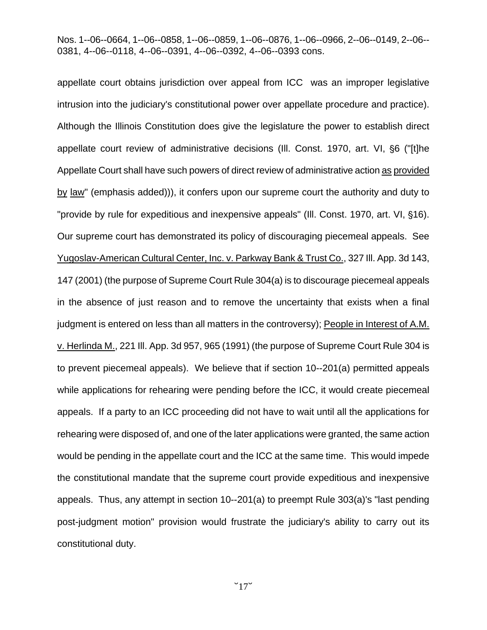appellate court obtains jurisdiction over appeal from ICC was an improper legislative intrusion into the judiciary's constitutional power over appellate procedure and practice). Although the Illinois Constitution does give the legislature the power to establish direct appellate court review of administrative decisions (III. Const. 1970, art. VI, §6 ("[t]he Appellate Court shall have such powers of direct review of administrative action as provided by law" (emphasis added))), it confers upon our supreme court the authority and duty to "provide by rule for expeditious and inexpensive appeals" (III. Const. 1970, art. VI, §16). Our supreme court has demonstrated its policy of discouraging piecemeal appeals. See Yugoslav-American Cultural Center, Inc. v. Parkway Bank & Trust Co., 327 Ill. App. 3d 143, 147 (2001) (the purpose of Supreme Court Rule 304(a) is to discourage piecemeal appeals in the absence of just reason and to remove the uncertainty that exists when a final judgment is entered on less than all matters in the controversy); People in Interest of A.M. v. Herlinda M., 221 Ill. App. 3d 957, 965 (1991) (the purpose of Supreme Court Rule 304 is to prevent piecemeal appeals). We believe that if section 10--201(a) permitted appeals while applications for rehearing were pending before the ICC, it would create piecemeal appeals. If a party to an ICC proceeding did not have to wait until all the applications for rehearing were disposed of, and one of the later applications were granted, the same action would be pending in the appellate court and the ICC at the same time. This would impede the constitutional mandate that the supreme court provide expeditious and inexpensive appeals. Thus, any attempt in section 10--201(a) to preempt Rule 303(a)'s "last pending post-judgment motion" provision would frustrate the judiciary's ability to carry out its constitutional duty.

 $\degree$ 17 $\degree$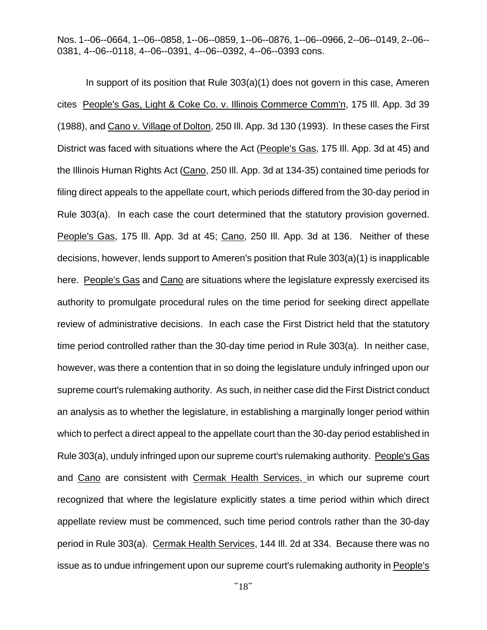In support of its position that Rule 303(a)(1) does not govern in this case, Ameren cites People's Gas, Light & Coke Co. v. Illinois Commerce Comm'n, 175 Ill. App. 3d 39 (1988), and Cano v. Village of Dolton, 250 Ill. App. 3d 130 (1993). In these cases the First District was faced with situations where the Act (People's Gas, 175 Ill. App. 3d at 45) and the Illinois Human Rights Act (Cano, 250 Ill. App. 3d at 134-35) contained time periods for filing direct appeals to the appellate court, which periods differed from the 30-day period in Rule 303(a). In each case the court determined that the statutory provision governed. People's Gas, 175 Ill. App. 3d at 45; Cano, 250 Ill. App. 3d at 136. Neither of these decisions, however, lends support to Ameren's position that Rule 303(a)(1) is inapplicable here. People's Gas and Cano are situations where the legislature expressly exercised its authority to promulgate procedural rules on the time period for seeking direct appellate review of administrative decisions. In each case the First District held that the statutory time period controlled rather than the 30-day time period in Rule 303(a). In neither case, however, was there a contention that in so doing the legislature unduly infringed upon our supreme court's rulemaking authority. As such, in neither case did the First District conduct an analysis as to whether the legislature, in establishing a marginally longer period within which to perfect a direct appeal to the appellate court than the 30-day period established in Rule 303(a), unduly infringed upon our supreme court's rulemaking authority. People's Gas and Cano are consistent with Cermak Health Services, in which our supreme court recognized that where the legislature explicitly states a time period within which direct appellate review must be commenced, such time period controls rather than the 30-day period in Rule 303(a). Cermak Health Services, 144 Ill. 2d at 334. Because there was no issue as to undue infringement upon our supreme court's rulemaking authority in People's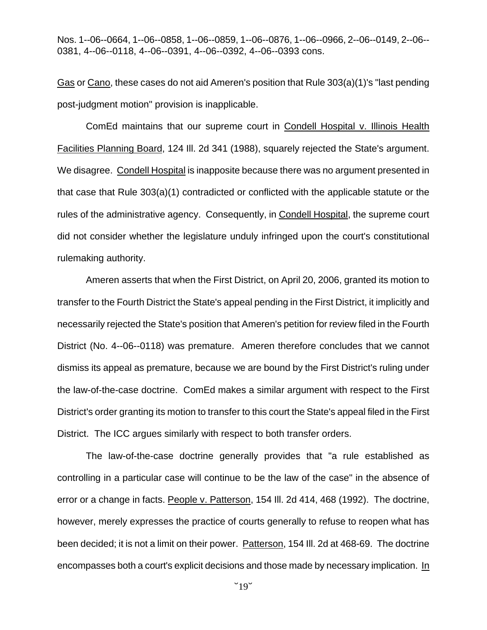Gas or Cano, these cases do not aid Ameren's position that Rule 303(a)(1)'s "last pending post-judgment motion" provision is inapplicable.

ComEd maintains that our supreme court in Condell Hospital v. Illinois Health Facilities Planning Board, 124 Ill. 2d 341 (1988), squarely rejected the State's argument. We disagree. Condell Hospital is inapposite because there was no argument presented in that case that Rule 303(a)(1) contradicted or conflicted with the applicable statute or the rules of the administrative agency. Consequently, in Condell Hospital, the supreme court did not consider whether the legislature unduly infringed upon the court's constitutional rulemaking authority.

Ameren asserts that when the First District, on April 20, 2006, granted its motion to transfer to the Fourth District the State's appeal pending in the First District, it implicitly and necessarily rejected the State's position that Ameren's petition for review filed in the Fourth District (No. 4--06--0118) was premature. Ameren therefore concludes that we cannot dismiss its appeal as premature, because we are bound by the First District's ruling under the law-of-the-case doctrine. ComEd makes a similar argument with respect to the First District's order granting its motion to transfer to this court the State's appeal filed in the First District. The ICC argues similarly with respect to both transfer orders.

The law-of-the-case doctrine generally provides that "a rule established as controlling in a particular case will continue to be the law of the case" in the absence of error or a change in facts. People v. Patterson, 154 III. 2d 414, 468 (1992). The doctrine, however, merely expresses the practice of courts generally to refuse to reopen what has been decided; it is not a limit on their power. Patterson, 154 Ill. 2d at 468-69. The doctrine encompasses both a court's explicit decisions and those made by necessary implication. In

 $"19"$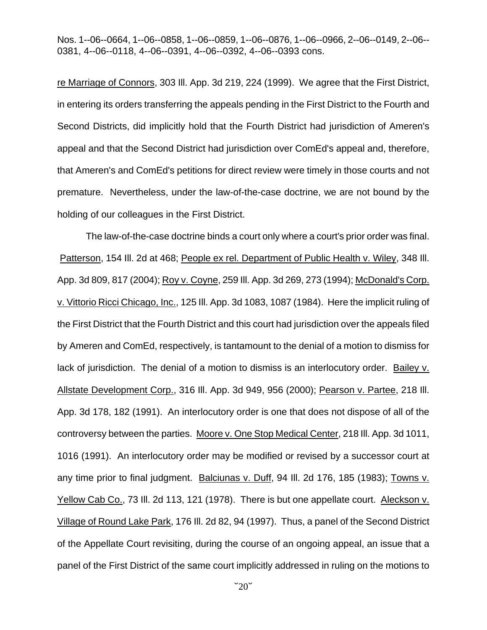re Marriage of Connors, 303 Ill. App. 3d 219, 224 (1999). We agree that the First District, in entering its orders transferring the appeals pending in the First District to the Fourth and Second Districts, did implicitly hold that the Fourth District had jurisdiction of Ameren's appeal and that the Second District had jurisdiction over ComEd's appeal and, therefore, that Ameren's and ComEd's petitions for direct review were timely in those courts and not premature. Nevertheless, under the law-of-the-case doctrine, we are not bound by the holding of our colleagues in the First District.

The law-of-the-case doctrine binds a court only where a court's prior order was final. Patterson, 154 Ill. 2d at 468; People ex rel. Department of Public Health v. Wiley, 348 Ill. App. 3d 809, 817 (2004); Roy v. Coyne, 259 Ill. App. 3d 269, 273 (1994); McDonald's Corp. v. Vittorio Ricci Chicago, Inc., 125 Ill. App. 3d 1083, 1087 (1984). Here the implicit ruling of the First District that the Fourth District and this court had jurisdiction over the appeals filed by Ameren and ComEd, respectively, is tantamount to the denial of a motion to dismiss for lack of jurisdiction. The denial of a motion to dismiss is an interlocutory order. Bailey v. Allstate Development Corp., 316 Ill. App. 3d 949, 956 (2000); Pearson v. Partee, 218 Ill. App. 3d 178, 182 (1991). An interlocutory order is one that does not dispose of all of the controversy between the parties. Moore v. One Stop Medical Center, 218 Ill. App. 3d 1011, 1016 (1991). An interlocutory order may be modified or revised by a successor court at any time prior to final judgment. Balciunas v. Duff, 94 Ill. 2d 176, 185 (1983); Towns v. Yellow Cab Co., 73 Ill. 2d 113, 121 (1978). There is but one appellate court. Aleckson v. Village of Round Lake Park, 176 Ill. 2d 82, 94 (1997). Thus, a panel of the Second District of the Appellate Court revisiting, during the course of an ongoing appeal, an issue that a panel of the First District of the same court implicitly addressed in ruling on the motions to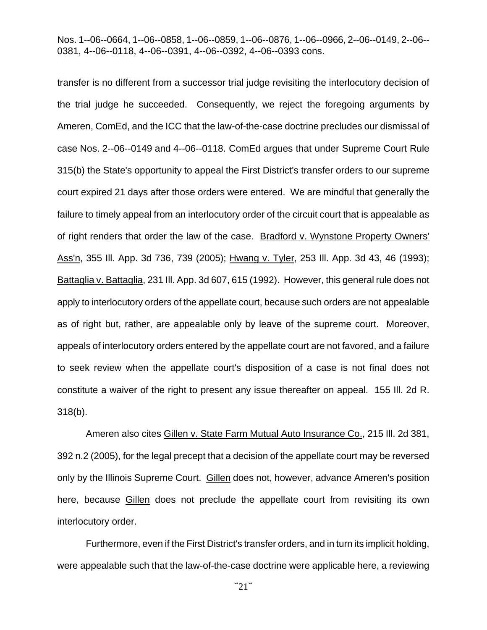transfer is no different from a successor trial judge revisiting the interlocutory decision of the trial judge he succeeded. Consequently, we reject the foregoing arguments by Ameren, ComEd, and the ICC that the law-of-the-case doctrine precludes our dismissal of case Nos. 2--06--0149 and 4--06--0118. ComEd argues that under Supreme Court Rule 315(b) the State's opportunity to appeal the First District's transfer orders to our supreme court expired 21 days after those orders were entered. We are mindful that generally the failure to timely appeal from an interlocutory order of the circuit court that is appealable as of right renders that order the law of the case. Bradford v. Wynstone Property Owners' Ass'n, 355 Ill. App. 3d 736, 739 (2005); Hwang v. Tyler, 253 Ill. App. 3d 43, 46 (1993); Battaglia v. Battaglia, 231 Ill. App. 3d 607, 615 (1992). However, this general rule does not apply to interlocutory orders of the appellate court, because such orders are not appealable as of right but, rather, are appealable only by leave of the supreme court. Moreover, appeals of interlocutory orders entered by the appellate court are not favored, and a failure to seek review when the appellate court's disposition of a case is not final does not constitute a waiver of the right to present any issue thereafter on appeal. 155 Ill. 2d R. 318(b).

Ameren also cites Gillen v. State Farm Mutual Auto Insurance Co., 215 Ill. 2d 381, 392 n.2 (2005), for the legal precept that a decision of the appellate court may be reversed only by the Illinois Supreme Court. Gillen does not, however, advance Ameren's position here, because Gillen does not preclude the appellate court from revisiting its own interlocutory order.

Furthermore, even if the First District's transfer orders, and in turn its implicit holding, were appealable such that the law-of-the-case doctrine were applicable here, a reviewing

 $"21"$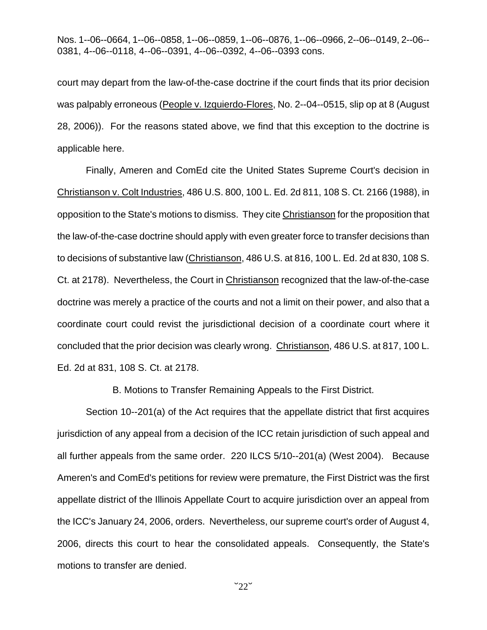court may depart from the law-of-the-case doctrine if the court finds that its prior decision was palpably erroneous (People v. Izquierdo-Flores, No. 2--04--0515, slip op at 8 (August 28, 2006)). For the reasons stated above, we find that this exception to the doctrine is applicable here.

Finally, Ameren and ComEd cite the United States Supreme Court's decision in Christianson v. Colt Industries, 486 U.S. 800, 100 L. Ed. 2d 811, 108 S. Ct. 2166 (1988), in opposition to the State's motions to dismiss. They cite Christianson for the proposition that the law-of-the-case doctrine should apply with even greater force to transfer decisions than to decisions of substantive law (Christianson, 486 U.S. at 816, 100 L. Ed. 2d at 830, 108 S. Ct. at 2178). Nevertheless, the Court in Christianson recognized that the law-of-the-case doctrine was merely a practice of the courts and not a limit on their power, and also that a coordinate court could revist the jurisdictional decision of a coordinate court where it concluded that the prior decision was clearly wrong. Christianson, 486 U.S. at 817, 100 L. Ed. 2d at 831, 108 S. Ct. at 2178.

B. Motions to Transfer Remaining Appeals to the First District.

Section 10--201(a) of the Act requires that the appellate district that first acquires jurisdiction of any appeal from a decision of the ICC retain jurisdiction of such appeal and all further appeals from the same order. 220 ILCS 5/10--201(a) (West 2004). Because Ameren's and ComEd's petitions for review were premature, the First District was the first appellate district of the Illinois Appellate Court to acquire jurisdiction over an appeal from the ICC's January 24, 2006, orders. Nevertheless, our supreme court's order of August 4, 2006, directs this court to hear the consolidated appeals. Consequently, the State's motions to transfer are denied.

 $"22"$